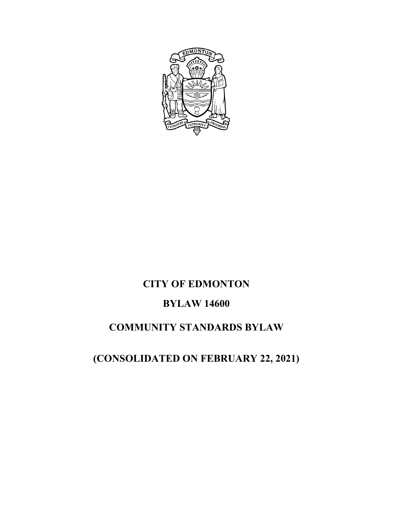

# **CITY OF EDMONTON**

# **BYLAW 14600**

# **COMMUNITY STANDARDS BYLAW**

# **(CONSOLIDATED ON FEBRUARY 22, 2021)**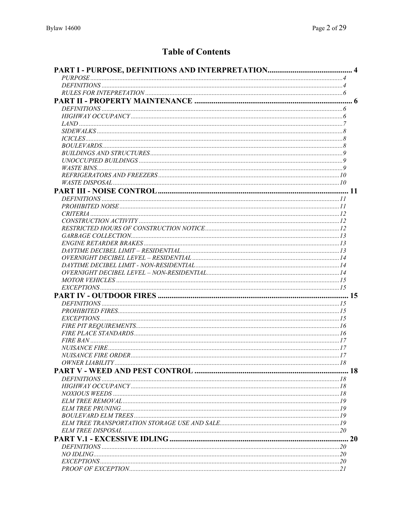# **Table of Contents**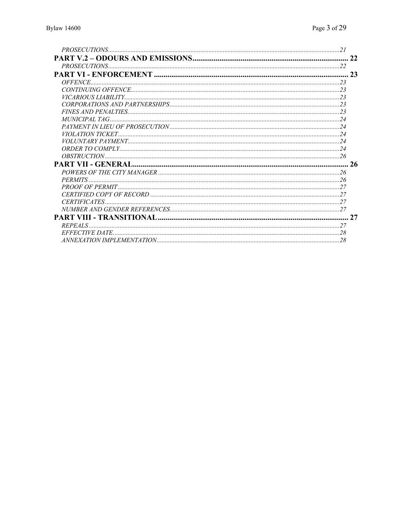|                       | 2 <sup>3</sup> |
|-----------------------|----------------|
| <i><b>OFFENCE</b></i> |                |
|                       |                |
|                       |                |
|                       |                |
|                       |                |
|                       |                |
|                       |                |
|                       |                |
|                       |                |
|                       |                |
|                       |                |
|                       |                |
|                       |                |
|                       |                |
|                       |                |
|                       |                |
|                       |                |
|                       |                |
|                       | 27             |
|                       |                |
|                       |                |
|                       |                |
|                       |                |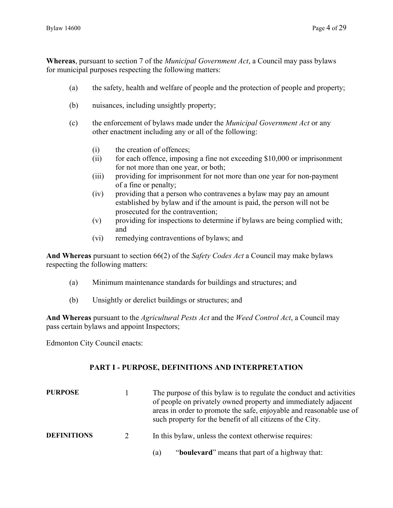**Whereas**, pursuant to section 7 of the *Municipal Government Act*, a Council may pass bylaws for municipal purposes respecting the following matters:

- (a) the safety, health and welfare of people and the protection of people and property;
- (b) nuisances, including unsightly property;
- (c) the enforcement of bylaws made under the *Municipal Government Act* or any other enactment including any or all of the following:
	- (i) the creation of offences;
	- (ii) for each offence, imposing a fine not exceeding \$10,000 or imprisonment for not more than one year, or both;
	- (iii) providing for imprisonment for not more than one year for non-payment of a fine or penalty;
	- (iv) providing that a person who contravenes a bylaw may pay an amount established by bylaw and if the amount is paid, the person will not be prosecuted for the contravention;
	- (v) providing for inspections to determine if bylaws are being complied with; and
	- (vi) remedying contraventions of bylaws; and

**And Whereas** pursuant to section 66(2) of the *Safety Codes Act* a Council may make bylaws respecting the following matters:

- (a) Minimum maintenance standards for buildings and structures; and
- (b) Unsightly or derelict buildings or structures; and

**And Whereas** pursuant to the *Agricultural Pests Act* and the *Weed Control Act*, a Council may pass certain bylaws and appoint Inspectors;

Edmonton City Council enacts:

#### **PART I - PURPOSE, DEFINITIONS AND INTERPRETATION**

| <b>PURPOSE</b>     |             | The purpose of this bylaw is to regulate the conduct and activities<br>of people on privately owned property and immediately adjacent<br>areas in order to promote the safe, enjoyable and reasonable use of<br>such property for the benefit of all citizens of the City. |
|--------------------|-------------|----------------------------------------------------------------------------------------------------------------------------------------------------------------------------------------------------------------------------------------------------------------------------|
| <b>DEFINITIONS</b> | $2^{\circ}$ | In this bylaw, unless the context otherwise requires:                                                                                                                                                                                                                      |
|                    |             | "boulevard" means that part of a highway that:<br>(a)                                                                                                                                                                                                                      |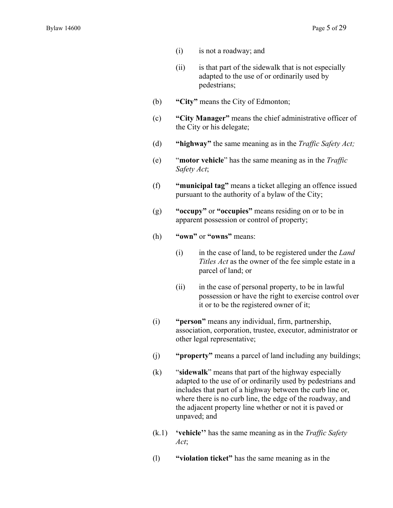- (i) is not a roadway; and
- (ii) is that part of the sidewalk that is not especially adapted to the use of or ordinarily used by pedestrians;
- (b) **"City"** means the City of Edmonton;
- (c) **"City Manager"** means the chief administrative officer of the City or his delegate;
- (d) **"highway"** the same meaning as in the *Traffic Safety Act;*
- (e) "**motor vehicle**" has the same meaning as in the *Traffic Safety Act*;
- (f) **"municipal tag"** means a ticket alleging an offence issued pursuant to the authority of a bylaw of the City;
- (g) **"occupy"** or **"occupies"** means residing on or to be in apparent possession or control of property;
- (h) **"own"** or **"owns"** means:
	- (i) in the case of land, to be registered under the *Land Titles Act* as the owner of the fee simple estate in a parcel of land; or
	- (ii) in the case of personal property, to be in lawful possession or have the right to exercise control over it or to be the registered owner of it;
- (i) **"person"** means any individual, firm, partnership, association, corporation, trustee, executor, administrator or other legal representative;
- (j) **"property"** means a parcel of land including any buildings;
- (k) "**sidewalk**" means that part of the highway especially adapted to the use of or ordinarily used by pedestrians and includes that part of a highway between the curb line or, where there is no curb line, the edge of the roadway, and the adjacent property line whether or not it is paved or unpaved; and
- (k.1) **'vehicle''** has the same meaning as in the *Traffic Safety Act*;
- (l) **"violation ticket"** has the same meaning as in the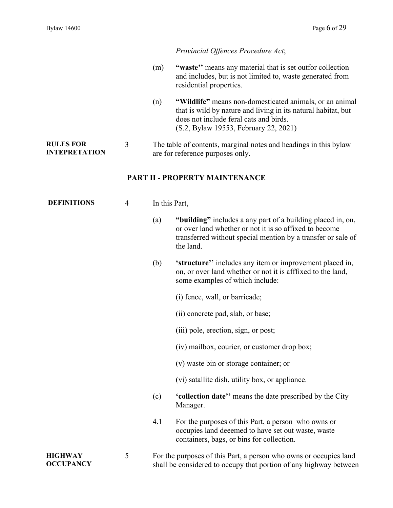**OCCUPANCY** 

#### *Provincial Offences Procedure Act*;

- (m) **"waste''** means any material that is set outfor collection and includes, but is not limited to, waste generated from residential properties.
- (n) **"Wildlife"** means non-domesticated animals, or an animal that is wild by nature and living in its natural habitat, but does not include feral cats and birds. (S.2, Bylaw 19553, February 22, 2021)

shall be considered to occupy that portion of any highway between

#### **RULES FOR INTEPRETATION**  3 The table of contents, marginal notes and headings in this bylaw are for reference purposes only.

### **PART II - PROPERTY MAINTENANCE**

| <b>DEFINITIONS</b> | $\overline{4}$ | In this Part, |                                                                                                                                                                                                    |
|--------------------|----------------|---------------|----------------------------------------------------------------------------------------------------------------------------------------------------------------------------------------------------|
|                    |                | (a)           | "building" includes a any part of a building placed in, on,<br>or over land whether or not it is so affixed to become<br>transferred without special mention by a transfer or sale of<br>the land. |
|                    |                | (b)           | 'structure'' includes any item or improvement placed in,<br>on, or over land whether or not it is afffixed to the land,<br>some examples of which include:                                         |
|                    |                |               | (i) fence, wall, or barricade;                                                                                                                                                                     |
|                    |                |               | (ii) concrete pad, slab, or base;                                                                                                                                                                  |
|                    |                |               | (iii) pole, erection, sign, or post;                                                                                                                                                               |
|                    |                |               | (iv) mailbox, courier, or customer drop box;                                                                                                                                                       |
|                    |                |               | (v) waste bin or storage container; or                                                                                                                                                             |
|                    |                |               | (vi) satallite dish, utility box, or appliance.                                                                                                                                                    |
|                    |                | (c)           | <b>'collection date''</b> means the date prescribed by the City<br>Manager.                                                                                                                        |
|                    |                | 4.1           | For the purposes of this Part, a person who owns or<br>occupies land deeemed to have set out waste, waste<br>containers, bags, or bins for collection.                                             |
| <b>HIGHWAY</b>     | 5              |               | For the purposes of this Part, a person who owns or occupies land                                                                                                                                  |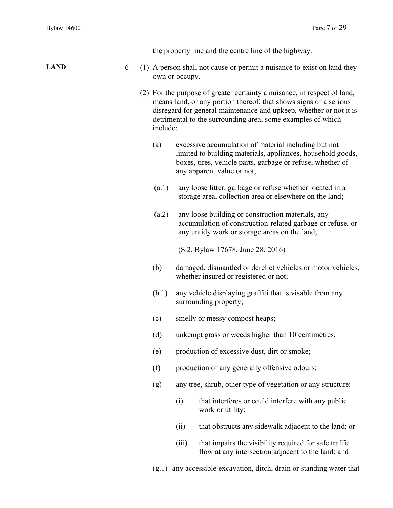|                  |  |          |                | the property line and the centre line of the highway.                                                                                                                                                                                                                              |
|------------------|--|----------|----------------|------------------------------------------------------------------------------------------------------------------------------------------------------------------------------------------------------------------------------------------------------------------------------------|
| <b>LAND</b><br>6 |  |          | own or occupy. | (1) A person shall not cause or permit a nuisance to exist on land they                                                                                                                                                                                                            |
|                  |  | include: |                | (2) For the purpose of greater certainty a nuisance, in respect of land,<br>means land, or any portion thereof, that shows signs of a serious<br>disregard for general maintenance and upkeep, whether or not it is<br>detrimental to the surrounding area, some examples of which |
|                  |  | (a)      |                | excessive accumulation of material including but not<br>limited to building materials, appliances, household goods,<br>boxes, tires, vehicle parts, garbage or refuse, whether of<br>any apparent value or not;                                                                    |
|                  |  | (a.1)    |                | any loose litter, garbage or refuse whether located in a<br>storage area, collection area or elsewhere on the land;                                                                                                                                                                |
|                  |  | (a.2)    |                | any loose building or construction materials, any<br>accumulation of construction-related garbage or refuse, or<br>any untidy work or storage areas on the land;                                                                                                                   |
|                  |  |          |                | (S.2, Bylaw 17678, June 28, 2016)                                                                                                                                                                                                                                                  |
|                  |  | (b)      |                | damaged, dismantled or derelict vehicles or motor vehicles,<br>whether insured or registered or not;                                                                                                                                                                               |
|                  |  | (b.1)    |                | any vehicle displaying graffiti that is visable from any<br>surrounding property;                                                                                                                                                                                                  |
|                  |  | (c)      |                | smelly or messy compost heaps;                                                                                                                                                                                                                                                     |
|                  |  | (d)      |                | unkempt grass or weeds higher than 10 centimetres;                                                                                                                                                                                                                                 |
|                  |  | (e)      |                | production of excessive dust, dirt or smoke;                                                                                                                                                                                                                                       |
|                  |  | (f)      |                | production of any generally offensive odours;                                                                                                                                                                                                                                      |
|                  |  | (g)      |                | any tree, shrub, other type of vegetation or any structure:                                                                                                                                                                                                                        |
|                  |  |          | (i)            | that interferes or could interfere with any public<br>work or utility;                                                                                                                                                                                                             |
|                  |  |          | (ii)           | that obstructs any sidewalk adjacent to the land; or                                                                                                                                                                                                                               |
|                  |  |          | (iii)          | that impairs the visibility required for safe traffic<br>flow at any intersection adjacent to the land; and                                                                                                                                                                        |

(g.1) any accessible excavation, ditch, drain or standing water that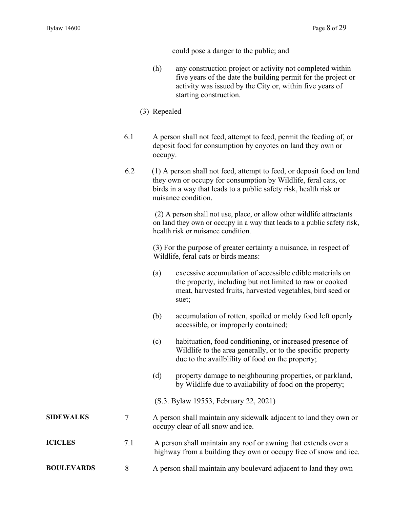could pose a danger to the public; and

- (h) any construction project or activity not completed within five years of the date the building permit for the project or activity was issued by the City or, within five years of starting construction.
- (3) Repealed
- 6.1 A person shall not feed, attempt to feed, permit the feeding of, or deposit food for consumption by coyotes on land they own or occupy.
- 6.2 (1) A person shall not feed, attempt to feed, or deposit food on land they own or occupy for consumption by Wildlife, feral cats, or birds in a way that leads to a public safety risk, health risk or nuisance condition.

(2) A person shall not use, place, or allow other wildlife attractants on land they own or occupy in a way that leads to a public safety risk, health risk or nuisance condition.

(3) For the purpose of greater certainty a nuisance, in respect of Wildlife, feral cats or birds means:

- (a) excessive accumulation of accessible edible materials on the property, including but not limited to raw or cooked meat, harvested fruits, harvested vegetables, bird seed or suet;
- (b) accumulation of rotten, spoiled or moldy food left openly accessible, or improperly contained;
- (c) habituation, food conditioning, or increased presence of Wildlife to the area generally, or to the specific property due to the availblility of food on the property;
- (d) property damage to neighbouring properties, or parkland, by Wildlife due to availability of food on the property;
- (S.3. Bylaw 19553, February 22, 2021)

# **SIDEWALKS** 7 A person shall maintain any sidewalk adjacent to land they own or occupy clear of all snow and ice.

- **ICICLES** 7.1 A person shall maintain any roof or awning that extends over a highway from a building they own or occupy free of snow and ice.
- **BOULEVARDS** 8 A person shall maintain any boulevard adjacent to land they own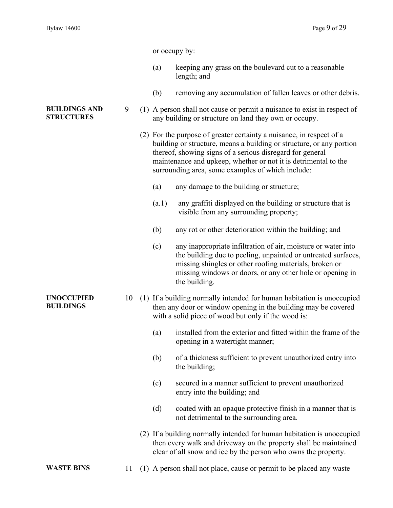|                                           |    | or occupy by: |                                                                                                                                                                                                                                                                                                                                   |
|-------------------------------------------|----|---------------|-----------------------------------------------------------------------------------------------------------------------------------------------------------------------------------------------------------------------------------------------------------------------------------------------------------------------------------|
|                                           |    | (a)           | keeping any grass on the boulevard cut to a reasonable<br>length; and                                                                                                                                                                                                                                                             |
|                                           |    | (b)           | removing any accumulation of fallen leaves or other debris.                                                                                                                                                                                                                                                                       |
| <b>BUILDINGS AND</b><br><b>STRUCTURES</b> | 9  |               | (1) A person shall not cause or permit a nuisance to exist in respect of<br>any building or structure on land they own or occupy.                                                                                                                                                                                                 |
|                                           |    |               | (2) For the purpose of greater certainty a nuisance, in respect of a<br>building or structure, means a building or structure, or any portion<br>thereof, showing signs of a serious disregard for general<br>maintenance and upkeep, whether or not it is detrimental to the<br>surrounding area, some examples of which include: |
|                                           |    | (a)           | any damage to the building or structure;                                                                                                                                                                                                                                                                                          |
|                                           |    | (a.1)         | any graffiti displayed on the building or structure that is<br>visible from any surrounding property;                                                                                                                                                                                                                             |
|                                           |    | (b)           | any rot or other deterioration within the building; and                                                                                                                                                                                                                                                                           |
|                                           |    | (c)           | any inappropriate infiltration of air, moisture or water into<br>the building due to peeling, unpainted or untreated surfaces,<br>missing shingles or other roofing materials, broken or<br>missing windows or doors, or any other hole or opening in<br>the building.                                                            |
| <b>UNOCCUPIED</b><br><b>BUILDINGS</b>     | 10 |               | (1) If a building normally intended for human habitation is unoccupied<br>then any door or window opening in the building may be covered<br>with a solid piece of wood but only if the wood is:                                                                                                                                   |
|                                           |    | (a)           | installed from the exterior and fitted within the frame of the<br>opening in a watertight manner;                                                                                                                                                                                                                                 |
|                                           |    | (b)           | of a thickness sufficient to prevent unauthorized entry into<br>the building;                                                                                                                                                                                                                                                     |
|                                           |    | (c)           | secured in a manner sufficient to prevent unauthorized<br>entry into the building; and                                                                                                                                                                                                                                            |
|                                           |    | (d)           | coated with an opaque protective finish in a manner that is<br>not detrimental to the surrounding area.                                                                                                                                                                                                                           |
|                                           |    |               | (2) If a building normally intended for human habitation is unoccupied<br>then every walk and driveway on the property shall be maintained<br>clear of all snow and ice by the person who owns the property.                                                                                                                      |
| <b>WASTE BINS</b>                         | 11 |               | (1) A person shall not place, cause or permit to be placed any waste                                                                                                                                                                                                                                                              |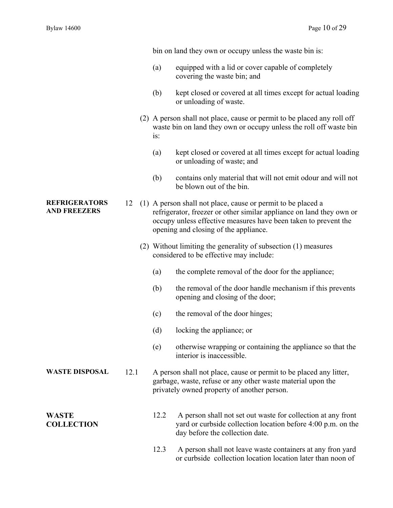|                                             |      |        | bin on land they own or occupy unless the waste bin is:                                                                                                                                                                                          |
|---------------------------------------------|------|--------|--------------------------------------------------------------------------------------------------------------------------------------------------------------------------------------------------------------------------------------------------|
|                                             |      | (a)    | equipped with a lid or cover capable of completely<br>covering the waste bin; and                                                                                                                                                                |
|                                             |      | (b)    | kept closed or covered at all times except for actual loading<br>or unloading of waste.                                                                                                                                                          |
|                                             |      | $1S$ : | (2) A person shall not place, cause or permit to be placed any roll off<br>waste bin on land they own or occupy unless the roll off waste bin                                                                                                    |
|                                             |      | (a)    | kept closed or covered at all times except for actual loading<br>or unloading of waste; and                                                                                                                                                      |
|                                             |      | (b)    | contains only material that will not emit odour and will not<br>be blown out of the bin.                                                                                                                                                         |
| <b>REFRIGERATORS</b><br><b>AND FREEZERS</b> | 12   |        | (1) A person shall not place, cause or permit to be placed a<br>refrigerator, freezer or other similar appliance on land they own or<br>occupy unless effective measures have been taken to prevent the<br>opening and closing of the appliance. |
|                                             |      |        | (2) Without limiting the generality of subsection (1) measures<br>considered to be effective may include:                                                                                                                                        |
|                                             |      | (a)    | the complete removal of the door for the appliance;                                                                                                                                                                                              |
|                                             |      | (b)    | the removal of the door handle mechanism if this prevents<br>opening and closing of the door;                                                                                                                                                    |
|                                             |      | (c)    | the removal of the door hinges;                                                                                                                                                                                                                  |
|                                             |      | (d)    | locking the appliance; or                                                                                                                                                                                                                        |
|                                             |      | (e)    | otherwise wrapping or containing the appliance so that the<br>interior is inaccessible.                                                                                                                                                          |
| <b>WASTE DISPOSAL</b>                       | 12.1 |        | A person shall not place, cause or permit to be placed any litter,<br>garbage, waste, refuse or any other waste material upon the<br>privately owned property of another person.                                                                 |
| <b>WASTE</b><br><b>COLLECTION</b>           |      | 12.2   | A person shall not set out waste for collection at any front<br>yard or curbside collection location before 4:00 p.m. on the<br>day before the collection date.                                                                                  |
|                                             |      |        |                                                                                                                                                                                                                                                  |

12.3 A person shall not leave waste containers at any fron yard or curbside collection location location later than noon of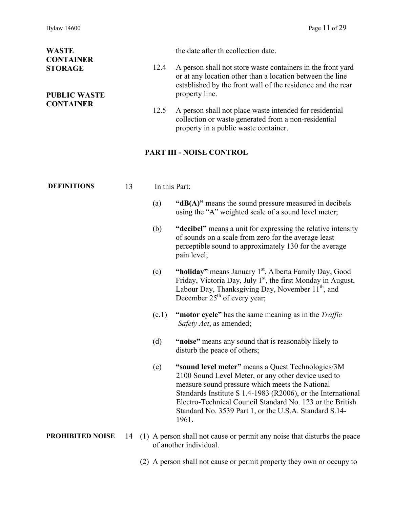| <b>WASTE</b><br><b>CONTAINER</b>                          |    |      |               | the date after the collection date.                                                                                                                                                                                                                                                                                                                         |
|-----------------------------------------------------------|----|------|---------------|-------------------------------------------------------------------------------------------------------------------------------------------------------------------------------------------------------------------------------------------------------------------------------------------------------------------------------------------------------------|
| <b>STORAGE</b><br><b>PUBLIC WASTE</b><br><b>CONTAINER</b> |    | 12.4 |               | A person shall not store waste containers in the front yard<br>or at any location other than a location between the line<br>established by the front wall of the residence and the rear<br>property line.                                                                                                                                                   |
|                                                           |    |      | 12.5          | A person shall not place waste intended for residential<br>collection or waste generated from a non-residential<br>property in a public waste container.                                                                                                                                                                                                    |
|                                                           |    |      |               | PART III - NOISE CONTROL                                                                                                                                                                                                                                                                                                                                    |
| <b>DEFINITIONS</b>                                        | 13 |      | In this Part: |                                                                                                                                                                                                                                                                                                                                                             |
|                                                           |    |      | (a)           | "dB(A)" means the sound pressure measured in decibels<br>using the "A" weighted scale of a sound level meter;                                                                                                                                                                                                                                               |
|                                                           |    |      | (b)           | "decibel" means a unit for expressing the relative intensity<br>of sounds on a scale from zero for the average least<br>perceptible sound to approximately 130 for the average<br>pain level;                                                                                                                                                               |
|                                                           |    |      | (c)           | "holiday" means January 1 <sup>st</sup> , Alberta Family Day, Good<br>Friday, Victoria Day, July $1st$ , the first Monday in August,<br>Labour Day, Thanksgiving Day, November 11 <sup>th</sup> , and<br>December $25th$ of every year;                                                                                                                     |
|                                                           |    |      | (c.1)         | "motor cycle" has the same meaning as in the Traffic<br>Safety Act, as amended;                                                                                                                                                                                                                                                                             |
|                                                           |    |      | (d)           | "noise" means any sound that is reasonably likely to<br>disturb the peace of others;                                                                                                                                                                                                                                                                        |
|                                                           |    |      | (e)           | "sound level meter" means a Quest Technologies/3M<br>2100 Sound Level Meter, or any other device used to<br>measure sound pressure which meets the National<br>Standards Institute S 1.4-1983 (R2006), or the International<br>Electro-Technical Council Standard No. 123 or the British<br>Standard No. 3539 Part 1, or the U.S.A. Standard S.14-<br>1961. |
| <b>PROHIBITED NOISE</b>                                   | 14 |      |               | (1) A person shall not cause or permit any noise that disturbs the peace<br>of another individual.                                                                                                                                                                                                                                                          |

(2) A person shall not cause or permit property they own or occupy to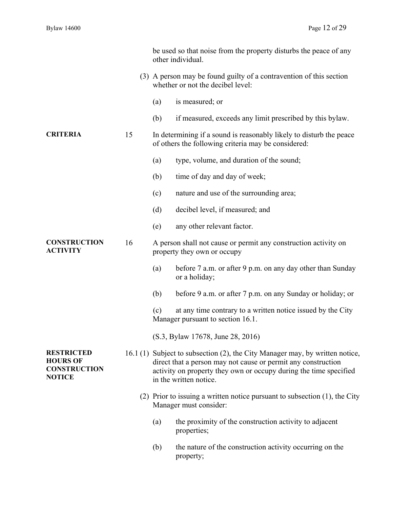|                                                                              |    |     | be used so that noise from the property disturbs the peace of any<br>other individual.                                                                                                                                                       |
|------------------------------------------------------------------------------|----|-----|----------------------------------------------------------------------------------------------------------------------------------------------------------------------------------------------------------------------------------------------|
|                                                                              |    |     | (3) A person may be found guilty of a contravention of this section<br>whether or not the decibel level:                                                                                                                                     |
|                                                                              |    | (a) | is measured; or                                                                                                                                                                                                                              |
|                                                                              |    | (b) | if measured, exceeds any limit prescribed by this bylaw.                                                                                                                                                                                     |
| <b>CRITERIA</b>                                                              | 15 |     | In determining if a sound is reasonably likely to disturb the peace<br>of others the following criteria may be considered:                                                                                                                   |
|                                                                              |    | (a) | type, volume, and duration of the sound;                                                                                                                                                                                                     |
|                                                                              |    | (b) | time of day and day of week;                                                                                                                                                                                                                 |
|                                                                              |    | (c) | nature and use of the surrounding area;                                                                                                                                                                                                      |
|                                                                              |    | (d) | decibel level, if measured; and                                                                                                                                                                                                              |
|                                                                              |    | (e) | any other relevant factor.                                                                                                                                                                                                                   |
| <b>CONSTRUCTION</b><br><b>ACTIVITY</b>                                       | 16 |     | A person shall not cause or permit any construction activity on<br>property they own or occupy                                                                                                                                               |
|                                                                              |    | (a) | before 7 a.m. or after 9 p.m. on any day other than Sunday<br>or a holiday;                                                                                                                                                                  |
|                                                                              |    | (b) | before 9 a.m. or after 7 p.m. on any Sunday or holiday; or                                                                                                                                                                                   |
|                                                                              |    | (c) | at any time contrary to a written notice issued by the City<br>Manager pursuant to section 16.1.                                                                                                                                             |
|                                                                              |    |     | (S.3, Bylaw 17678, June 28, 2016)                                                                                                                                                                                                            |
| <b>RESTRICTED</b><br><b>HOURS OF</b><br><b>CONSTRUCTION</b><br><b>NOTICE</b> |    |     | 16.1 (1) Subject to subsection (2), the City Manager may, by written notice,<br>direct that a person may not cause or permit any construction<br>activity on property they own or occupy during the time specified<br>in the written notice. |
|                                                                              |    |     | (2) Prior to issuing a written notice pursuant to subsection $(1)$ , the City<br>Manager must consider:                                                                                                                                      |
|                                                                              |    | (a) | the proximity of the construction activity to adjacent<br>properties;                                                                                                                                                                        |
|                                                                              |    | (b) | the nature of the construction activity occurring on the<br>property;                                                                                                                                                                        |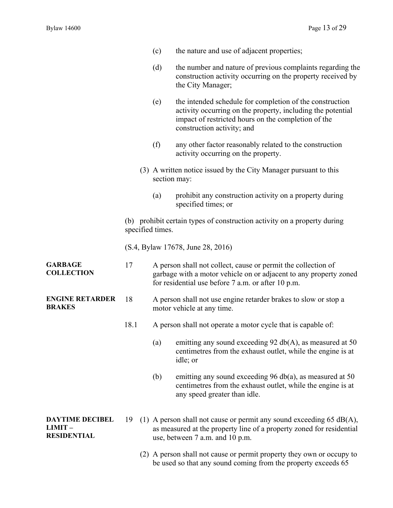|                                                        |                  | (c)          | the nature and use of adjacent properties;                                                                                                                                                                   |
|--------------------------------------------------------|------------------|--------------|--------------------------------------------------------------------------------------------------------------------------------------------------------------------------------------------------------------|
|                                                        |                  | (d)          | the number and nature of previous complaints regarding the<br>construction activity occurring on the property received by<br>the City Manager;                                                               |
|                                                        |                  | (e)          | the intended schedule for completion of the construction<br>activity occurring on the property, including the potential<br>impact of restricted hours on the completion of the<br>construction activity; and |
|                                                        |                  | (f)          | any other factor reasonably related to the construction<br>activity occurring on the property.                                                                                                               |
|                                                        |                  | section may: | (3) A written notice issued by the City Manager pursuant to this                                                                                                                                             |
|                                                        |                  | (a)          | prohibit any construction activity on a property during<br>specified times; or                                                                                                                               |
|                                                        | specified times. |              | (b) prohibit certain types of construction activity on a property during                                                                                                                                     |
|                                                        |                  |              | (S.4, Bylaw 17678, June 28, 2016)                                                                                                                                                                            |
| <b>GARBAGE</b><br><b>COLLECTION</b>                    | 17               |              | A person shall not collect, cause or permit the collection of<br>garbage with a motor vehicle on or adjacent to any property zoned<br>for residential use before 7 a.m. or after 10 p.m.                     |
| <b>ENGINE RETARDER</b><br><b>BRAKES</b>                | 18               |              | A person shall not use engine retarder brakes to slow or stop a<br>motor vehicle at any time.                                                                                                                |
|                                                        | 18.1             |              | A person shall not operate a motor cycle that is capable of:                                                                                                                                                 |
|                                                        |                  | (a)          | emitting any sound exceeding 92 $db(A)$ , as measured at 50<br>centimetres from the exhaust outlet, while the engine is at<br>idle; or                                                                       |
|                                                        |                  | (b)          | emitting any sound exceeding 96 db(a), as measured at 50<br>centimetres from the exhaust outlet, while the engine is at<br>any speed greater than idle.                                                      |
| <b>DAYTIME DECIBEL</b><br>LIMIT-<br><b>RESIDENTIAL</b> | 19               |              | (1) A person shall not cause or permit any sound exceeding $65$ dB(A),<br>as measured at the property line of a property zoned for residential<br>use, between 7 a.m. and 10 p.m.                            |
|                                                        |                  |              | (2) A person shall not cause or permit property they own or occupy to<br>be used so that any sound coming from the property exceeds 65                                                                       |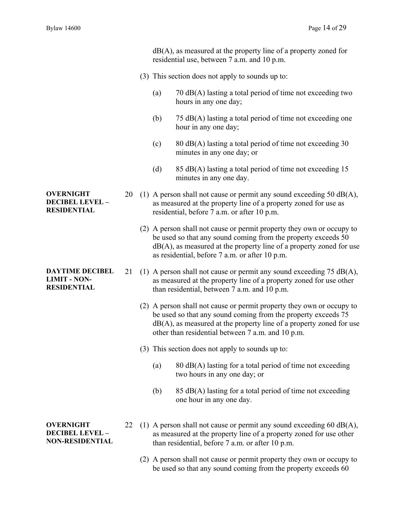dB(A), as measured at the property line of a property zoned for residential use, between 7 a.m. and 10 p.m.

- (3) This section does not apply to sounds up to:
	- (a) 70 dB(A) lasting a total period of time not exceeding two hours in any one day;
	- (b) 75 dB(A) lasting a total period of time not exceeding one hour in any one day;
	- (c)  $80 \text{ dB}(A)$  lasting a total period of time not exceeding 30 minutes in any one day; or
	- (d) 85 dB(A) lasting a total period of time not exceeding  $15$ minutes in any one day.
- 20 (1) A person shall not cause or permit any sound exceeding 50  $dB(A)$ , as measured at the property line of a property zoned for use as residential, before 7 a.m. or after 10 p.m.
	- (2) A person shall not cause or permit property they own or occupy to be used so that any sound coming from the property exceeds 50  $dB(A)$ , as measured at the property line of a property zoned for use as residential, before 7 a.m. or after 10 p.m.
- 21 (1) A person shall not cause or permit any sound exceeding  $75 \text{ dB}(A)$ , as measured at the property line of a property zoned for use other than residential, between 7 a.m. and 10 p.m.
	- (2) A person shall not cause or permit property they own or occupy to be used so that any sound coming from the property exceeds 75  $dB(A)$ , as measured at the property line of a property zoned for use other than residential between 7 a.m. and 10 p.m.
	- (3) This section does not apply to sounds up to:
		- (a)  $80 \text{ dB}(A)$  lasting for a total period of time not exceeding two hours in any one day; or
		- (b) 85 dB(A) lasting for a total period of time not exceeding one hour in any one day.

**OVERNIGHT DECIBEL LEVEL – NON-RESIDENTIAL** 

- 22 (1) A person shall not cause or permit any sound exceeding 60  $dB(A)$ , as measured at the property line of a property zoned for use other than residential, before 7 a.m. or after 10 p.m.
	- (2) A person shall not cause or permit property they own or occupy to be used so that any sound coming from the property exceeds 60

**OVERNIGHT DECIBEL LEVEL – RESIDENTIAL** 

**DAYTIME DECIBEL LIMIT - NON-RESIDENTIAL**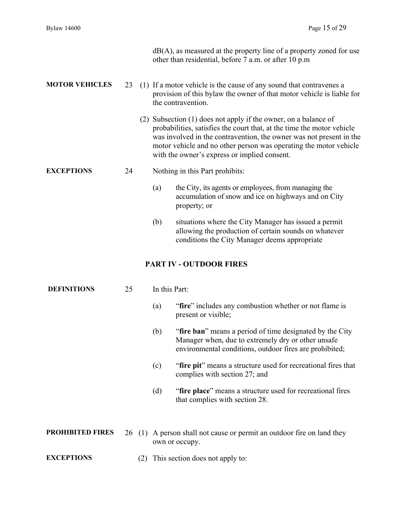|                         |    |     | $dB(A)$ , as measured at the property line of a property zoned for use<br>other than residential, before 7 a.m. or after 10 p.m.                                                                                                                                                                                                      |
|-------------------------|----|-----|---------------------------------------------------------------------------------------------------------------------------------------------------------------------------------------------------------------------------------------------------------------------------------------------------------------------------------------|
| <b>MOTOR VEHICLES</b>   | 23 |     | (1) If a motor vehicle is the cause of any sound that contravenes a<br>provision of this bylaw the owner of that motor vehicle is liable for<br>the contravention.                                                                                                                                                                    |
|                         |    |     | (2) Subsection (1) does not apply if the owner, on a balance of<br>probabilities, satisfies the court that, at the time the motor vehicle<br>was involved in the contravention, the owner was not present in the<br>motor vehicle and no other person was operating the motor vehicle<br>with the owner's express or implied consent. |
| <b>EXCEPTIONS</b>       | 24 |     | Nothing in this Part prohibits:                                                                                                                                                                                                                                                                                                       |
|                         |    |     | the City, its agents or employees, from managing the<br>(a)<br>accumulation of snow and ice on highways and on City<br>property; or                                                                                                                                                                                                   |
|                         |    |     | (b)<br>situations where the City Manager has issued a permit<br>allowing the production of certain sounds on whatever<br>conditions the City Manager deems appropriate                                                                                                                                                                |
|                         |    |     | <b>PART IV - OUTDOOR FIRES</b>                                                                                                                                                                                                                                                                                                        |
| <b>DEFINITIONS</b>      | 25 |     | In this Part:                                                                                                                                                                                                                                                                                                                         |
|                         |    |     | "fire" includes any combustion whether or not flame is<br>(a)<br>present or visible;                                                                                                                                                                                                                                                  |
|                         |    |     | "fire ban" means a period of time designated by the City<br>(b)<br>Manager when, due to extremely dry or other unsafe<br>environmental conditions, outdoor fires are prohibited;                                                                                                                                                      |
|                         |    |     | "fire pit" means a structure used for recreational fires that<br>(c)<br>complies with section 27; and                                                                                                                                                                                                                                 |
|                         |    |     | "fire place" means a structure used for recreational fires<br>(d)<br>that complies with section 28.                                                                                                                                                                                                                                   |
| <b>PROHIBITED FIRES</b> |    |     | 26 (1) A person shall not cause or permit an outdoor fire on land they<br>own or occupy.                                                                                                                                                                                                                                              |
| <b>EXCEPTIONS</b>       |    | (2) | This section does not apply to:                                                                                                                                                                                                                                                                                                       |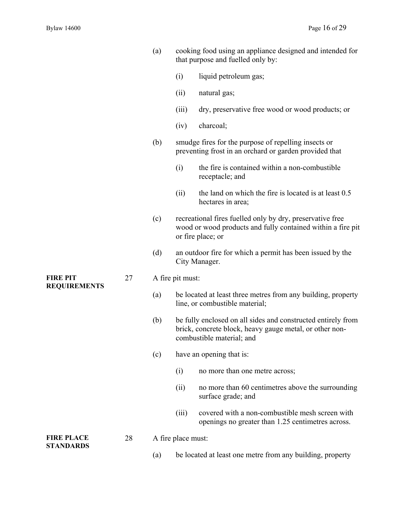- (a) cooking food using an appliance designed and intended for that purpose and fuelled only by:
	- (i) liquid petroleum gas;
	- (ii) natural gas;
	- (iii) dry, preservative free wood or wood products; or
	- (iv) charcoal;
- (b) smudge fires for the purpose of repelling insects or preventing frost in an orchard or garden provided that
	- (i) the fire is contained within a non-combustible receptacle; and
	- (ii) the land on which the fire is located is at least 0.5 hectares in area;
- (c) recreational fires fuelled only by dry, preservative free wood or wood products and fully contained within a fire pit or fire place; or
- (d) an outdoor fire for which a permit has been issued by the City Manager.
- 27 A fire pit must:
	- (a) be located at least three metres from any building, property line, or combustible material;
	- (b) be fully enclosed on all sides and constructed entirely from brick, concrete block, heavy gauge metal, or other noncombustible material; and
	- (c) have an opening that is:
		- (i) no more than one metre across;
		- (ii) no more than 60 centimetres above the surrounding surface grade; and
		- (iii) covered with a non-combustible mesh screen with openings no greater than 1.25 centimetres across.
- 28 A fire place must:
	- (a) be located at least one metre from any building, property

**FIRE PIT REQUIREMENTS** 

**FIRE PLACE STANDARDS**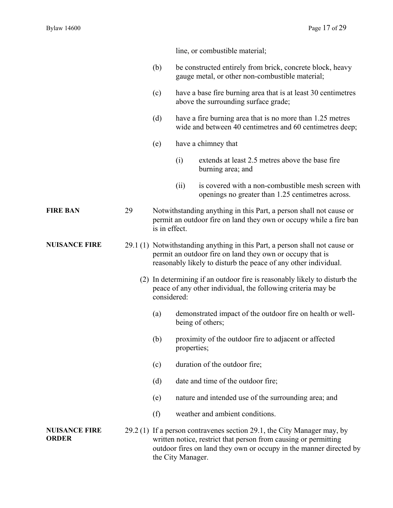line, or combustible material;

- (b) be constructed entirely from brick, concrete block, heavy gauge metal, or other non-combustible material;
- (c) have a base fire burning area that is at least 30 centimetres above the surrounding surface grade;
- (d) have a fire burning area that is no more than 1.25 metres wide and between 40 centimetres and 60 centimetres deep;
- (e) have a chimney that
	- (i) extends at least 2.5 metres above the base fire burning area; and
	- (ii) is covered with a non-combustible mesh screen with openings no greater than 1.25 centimetres across.
- **FIRE BAN** 29 Notwithstanding anything in this Part, a person shall not cause or permit an outdoor fire on land they own or occupy while a fire ban is in effect.
- **NUISANCE FIRE** 29.1 (1) Notwithstanding anything in this Part, a person shall not cause or permit an outdoor fire on land they own or occupy that is reasonably likely to disturb the peace of any other individual.
	- (2) In determining if an outdoor fire is reasonably likely to disturb the peace of any other individual, the following criteria may be considered:
		- (a) demonstrated impact of the outdoor fire on health or wellbeing of others;
		- (b) proximity of the outdoor fire to adjacent or affected properties;
		- (c) duration of the outdoor fire;
		- (d) date and time of the outdoor fire;
		- (e) nature and intended use of the surrounding area; and
		- (f) weather and ambient conditions.
- **NUISANCE FIRE ORDER**  29.2 (1) If a person contravenes section 29.1, the City Manager may, by written notice, restrict that person from causing or permitting outdoor fires on land they own or occupy in the manner directed by the City Manager.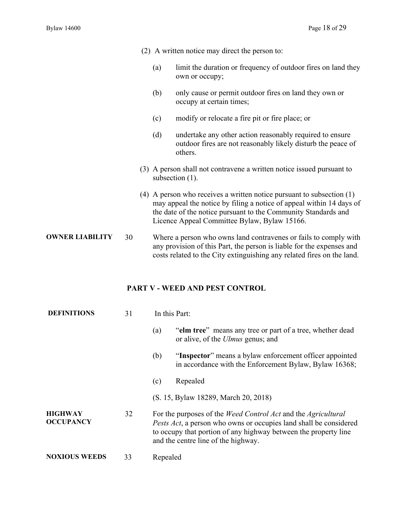|                        |    |     | (2) A written notice may direct the person to:                                                                                                                                                                                                                    |
|------------------------|----|-----|-------------------------------------------------------------------------------------------------------------------------------------------------------------------------------------------------------------------------------------------------------------------|
|                        |    | (a) | limit the duration or frequency of outdoor fires on land they<br>own or occupy;                                                                                                                                                                                   |
|                        |    | (b) | only cause or permit outdoor fires on land they own or<br>occupy at certain times;                                                                                                                                                                                |
|                        |    | (c) | modify or relocate a fire pit or fire place; or                                                                                                                                                                                                                   |
|                        |    | (d) | undertake any other action reasonably required to ensure<br>outdoor fires are not reasonably likely disturb the peace of<br>others.                                                                                                                               |
|                        |    |     | (3) A person shall not contravene a written notice issued pursuant to<br>subsection $(1)$ .                                                                                                                                                                       |
|                        |    |     | (4) A person who receives a written notice pursuant to subsection $(1)$<br>may appeal the notice by filing a notice of appeal within 14 days of<br>the date of the notice pursuant to the Community Standards and<br>Licence Appeal Committee Bylaw, Bylaw 15166. |
| <b>OWNER LIABILITY</b> | 30 |     | Where a person who owns land contravenes or fails to comply with<br>any provision of this Part, the person is liable for the expenses and<br>costs related to the City extinguishing any related fires on the land.                                               |
|                        |    |     | <b>PART V - WEED AND PEST CONTROL</b>                                                                                                                                                                                                                             |

| <b>DEFINITIONS</b>                 | 31 | In this Part:                                                                                                                                                                                                                                                      |  |
|------------------------------------|----|--------------------------------------------------------------------------------------------------------------------------------------------------------------------------------------------------------------------------------------------------------------------|--|
|                                    |    | "elm tree" means any tree or part of a tree, whether dead<br>(a)<br>or alive, of the <i>Ulmus</i> genus; and                                                                                                                                                       |  |
|                                    |    | "Inspector" means a bylaw enforcement officer appointed<br>(b)<br>in accordance with the Enforcement Bylaw, Bylaw 16368;                                                                                                                                           |  |
|                                    |    | Repealed<br>(c)                                                                                                                                                                                                                                                    |  |
|                                    |    | (S. 15, Bylaw 18289, March 20, 2018)                                                                                                                                                                                                                               |  |
| <b>HIGHWAY</b><br><b>OCCUPANCY</b> | 32 | For the purposes of the <i>Weed Control Act</i> and the <i>Agricultural</i><br><i>Pests Act</i> , a person who owns or occupies land shall be considered<br>to occupy that portion of any highway between the property line<br>and the centre line of the highway. |  |
| <b>NOXIOUS WEEDS</b>               | 33 | Repealed                                                                                                                                                                                                                                                           |  |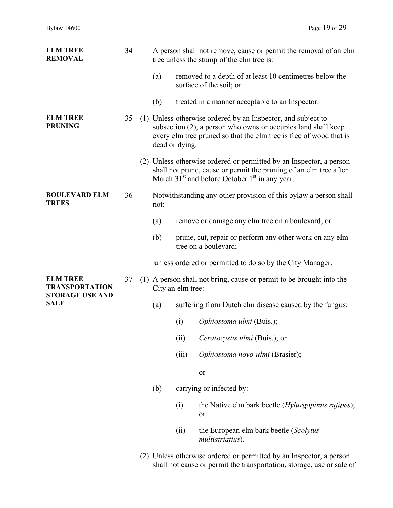| <b>ELM TREE</b><br><b>REMOVAL</b>                                  | 34 | A person shall not remove, cause or permit the removal of an elm<br>tree unless the stump of the elm tree is:                                                                                                         |                                                                                                                                                                                                                    |                                                                                    |  |  |  |
|--------------------------------------------------------------------|----|-----------------------------------------------------------------------------------------------------------------------------------------------------------------------------------------------------------------------|--------------------------------------------------------------------------------------------------------------------------------------------------------------------------------------------------------------------|------------------------------------------------------------------------------------|--|--|--|
|                                                                    |    | (a)                                                                                                                                                                                                                   |                                                                                                                                                                                                                    | removed to a depth of at least 10 centimetres below the<br>surface of the soil; or |  |  |  |
|                                                                    |    | (b)                                                                                                                                                                                                                   |                                                                                                                                                                                                                    | treated in a manner acceptable to an Inspector.                                    |  |  |  |
| <b>ELM TREE</b><br><b>PRUNING</b>                                  | 35 | (1) Unless otherwise ordered by an Inspector, and subject to<br>subsection (2), a person who owns or occupies land shall keep<br>every elm tree pruned so that the elm tree is free of wood that is<br>dead or dying. |                                                                                                                                                                                                                    |                                                                                    |  |  |  |
|                                                                    |    |                                                                                                                                                                                                                       | (2) Unless otherwise ordered or permitted by an Inspector, a person<br>shall not prune, cause or permit the pruning of an elm tree after<br>March 31 <sup>st</sup> and before October 1 <sup>st</sup> in any year. |                                                                                    |  |  |  |
| <b>BOULEVARD ELM</b><br><b>TREES</b>                               | 36 | Notwithstanding any other provision of this bylaw a person shall<br>not:                                                                                                                                              |                                                                                                                                                                                                                    |                                                                                    |  |  |  |
|                                                                    |    | (a)                                                                                                                                                                                                                   |                                                                                                                                                                                                                    | remove or damage any elm tree on a boulevard; or                                   |  |  |  |
|                                                                    |    | (b)                                                                                                                                                                                                                   |                                                                                                                                                                                                                    | prune, cut, repair or perform any other work on any elm<br>tree on a boulevard;    |  |  |  |
|                                                                    |    |                                                                                                                                                                                                                       |                                                                                                                                                                                                                    | unless ordered or permitted to do so by the City Manager.                          |  |  |  |
| <b>ELM TREE</b><br><b>TRANSPORTATION</b><br><b>STORAGE USE AND</b> | 37 | (1) A person shall not bring, cause or permit to be brought into the<br>City an elm tree:                                                                                                                             |                                                                                                                                                                                                                    |                                                                                    |  |  |  |
| <b>SALE</b>                                                        |    | (a)                                                                                                                                                                                                                   |                                                                                                                                                                                                                    | suffering from Dutch elm disease caused by the fungus:                             |  |  |  |
|                                                                    |    |                                                                                                                                                                                                                       | (i)                                                                                                                                                                                                                | Ophiostoma ulmi (Buis.);                                                           |  |  |  |
|                                                                    |    |                                                                                                                                                                                                                       | (ii)                                                                                                                                                                                                               | Ceratocystis ulmi (Buis.); or                                                      |  |  |  |
|                                                                    |    |                                                                                                                                                                                                                       | (iii)                                                                                                                                                                                                              | Ophiostoma novo-ulmi (Brasier);                                                    |  |  |  |
|                                                                    |    |                                                                                                                                                                                                                       |                                                                                                                                                                                                                    | or                                                                                 |  |  |  |
|                                                                    |    | (b)                                                                                                                                                                                                                   |                                                                                                                                                                                                                    | carrying or infected by:                                                           |  |  |  |
|                                                                    |    |                                                                                                                                                                                                                       | (i)                                                                                                                                                                                                                | the Native elm bark beetle ( <i>Hylurgopinus rufipes</i> );<br>or                  |  |  |  |
|                                                                    |    |                                                                                                                                                                                                                       | (ii)                                                                                                                                                                                                               | the European elm bark beetle (Scolytus<br>multistriatius).                         |  |  |  |
|                                                                    |    |                                                                                                                                                                                                                       |                                                                                                                                                                                                                    |                                                                                    |  |  |  |

 (2) Unless otherwise ordered or permitted by an Inspector, a person shall not cause or permit the transportation, storage, use or sale of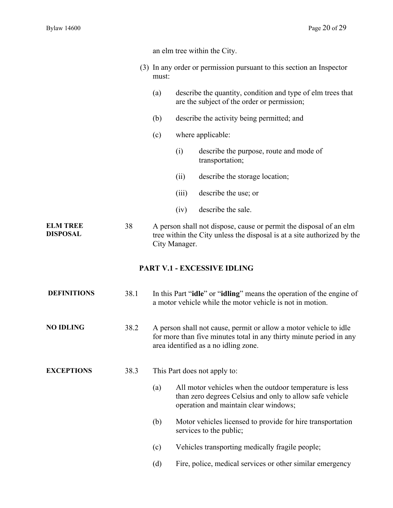|                                    |      | an elm tree within the City.<br>(3) In any order or permission pursuant to this section an Inspector<br>must:                                                                    |       |                                                                                                                                                              |
|------------------------------------|------|----------------------------------------------------------------------------------------------------------------------------------------------------------------------------------|-------|--------------------------------------------------------------------------------------------------------------------------------------------------------------|
|                                    |      |                                                                                                                                                                                  |       |                                                                                                                                                              |
|                                    |      | (a)                                                                                                                                                                              |       | describe the quantity, condition and type of elm trees that<br>are the subject of the order or permission;                                                   |
|                                    |      | describe the activity being permitted; and<br>(b)                                                                                                                                |       |                                                                                                                                                              |
|                                    |      | (c)                                                                                                                                                                              |       | where applicable:                                                                                                                                            |
|                                    |      |                                                                                                                                                                                  | (i)   | describe the purpose, route and mode of<br>transportation;                                                                                                   |
|                                    |      |                                                                                                                                                                                  | (ii)  | describe the storage location;                                                                                                                               |
|                                    |      |                                                                                                                                                                                  | (iii) | describe the use; or                                                                                                                                         |
|                                    |      |                                                                                                                                                                                  | (iv)  | describe the sale.                                                                                                                                           |
| <b>ELM TREE</b><br><b>DISPOSAL</b> | 38   | A person shall not dispose, cause or permit the disposal of an elm<br>tree within the City unless the disposal is at a site authorized by the<br>City Manager.                   |       |                                                                                                                                                              |
|                                    |      |                                                                                                                                                                                  |       | PART V.1 - EXCESSIVE IDLING                                                                                                                                  |
| <b>DEFINITIONS</b>                 | 38.1 |                                                                                                                                                                                  |       | In this Part " <b>idle</b> " or " <b>idling</b> " means the operation of the engine of<br>a motor vehicle while the motor vehicle is not in motion.          |
| <b>NO IDLING</b>                   | 38.2 | A person shall not cause, permit or allow a motor vehicle to idle<br>for more than five minutes total in any thirty minute period in any<br>area identified as a no idling zone. |       |                                                                                                                                                              |
| <b>EXCEPTIONS</b>                  | 38.3 | This Part does not apply to:                                                                                                                                                     |       |                                                                                                                                                              |
|                                    |      | (a)                                                                                                                                                                              |       | All motor vehicles when the outdoor temperature is less<br>than zero degrees Celsius and only to allow safe vehicle<br>operation and maintain clear windows; |
|                                    |      | (b)                                                                                                                                                                              |       | Motor vehicles licensed to provide for hire transportation<br>services to the public;                                                                        |
|                                    |      | (c)                                                                                                                                                                              |       | Vehicles transporting medically fragile people;                                                                                                              |
|                                    |      | (d)                                                                                                                                                                              |       | Fire, police, medical services or other similar emergency                                                                                                    |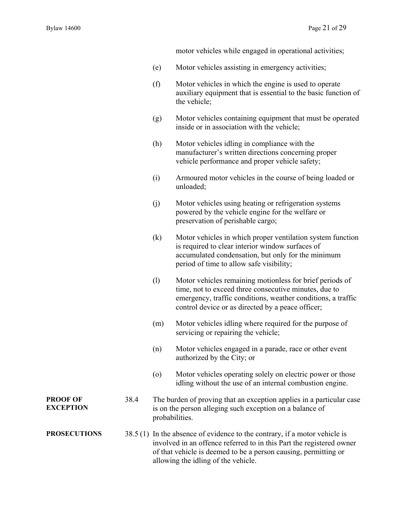motor vehicles while engaged in operational activities;

- (e) Motor vehicles assisting in emergency activities;
- (f) Motor vehicles in which the engine is used to operate auxiliary equipment that is essential to the basic function of the vehicle;
- (g) Motor vehicles containing equipment that must be operated inside or in association with the vehicle;
- (h) Motor vehicles idling in compliance with the manufacturer's written directions concerning proper vehicle performance and proper vehicle safety;
- (i) Armoured motor vehicles in the course of being loaded or unloaded;
- (j) Motor vehicles using heating or refrigeration systems powered by the vehicle engine for the welfare or preservation of perishable cargo;
- (k) Motor vehicles in which proper ventilation system function is required to clear interior window surfaces of accumulated condensation, but only for the minimum period of time to allow safe visibility;
- (l) Motor vehicles remaining motionless for brief periods of time, not to exceed three consecutive minutes, due to emergency, traffic conditions, weather conditions, a traffic control device or as directed by a peace officer;
- (m) Motor vehicles idling where required for the purpose of servicing or repairing the vehicle;
- (n) Motor vehicles engaged in a parade, race or other event authorized by the City; or
- (o) Motor vehicles operating solely on electric power or those idling without the use of an internal combustion engine.
- **PROOF OF EXCEPTION**  38.4 The burden of proving that an exception applies in a particular case is on the person alleging such exception on a balance of probabilities.

**PROSECUTIONS** 38.5 (1) In the absence of evidence to the contrary, if a motor vehicle is involved in an offence referred to in this Part the registered owner of that vehicle is deemed to be a person causing, permitting or allowing the idling of the vehicle.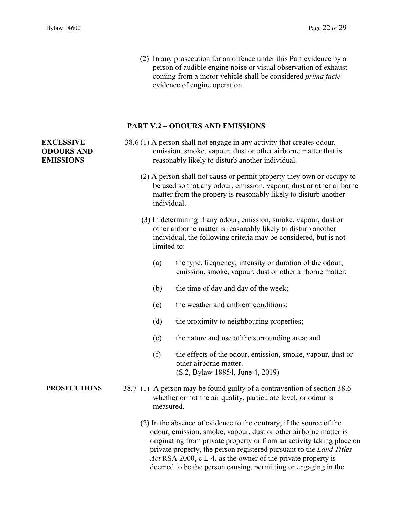(2) In any prosecution for an offence under this Part evidence by a person of audible engine noise or visual observation of exhaust coming from a motor vehicle shall be considered *prima facie* evidence of engine operation.

#### **PART V.2 – ODOURS AND EMISSIONS**

## 38.6 (1) A person shall not engage in any activity that creates odour, emission, smoke, vapour, dust or other airborne matter that is reasonably likely to disturb another individual.

- (2) A person shall not cause or permit property they own or occupy to be used so that any odour, emission, vapour, dust or other airborne matter from the propery is reasonably likely to disturb another individual.
- (3) In determining if any odour, emission, smoke, vapour, dust or other airborne matter is reasonably likely to disturb another individual, the following criteria may be considered, but is not limited to:
	- (a) the type, frequency, intensity or duration of the odour, emission, smoke, vapour, dust or other airborne matter;
	- (b) the time of day and day of the week;
	- (c) the weather and ambient conditions;
	- (d) the proximity to neighbouring properties;
	- (e) the nature and use of the surrounding area; and
	- (f) the effects of the odour, emission, smoke, vapour, dust or other airborne matter. (S.2, Bylaw 18854, June 4, 2019)
- **PROSECUTIONS** 38.7 (1) A person may be found guilty of a contravention of section 38.6 whether or not the air quality, particulate level, or odour is measured.
	- (2) In the absence of evidence to the contrary, if the source of the odour, emission, smoke, vapour, dust or other airborne matter is originating from private property or from an activity taking place on private property, the person registered pursuant to the *Land Titles Act* RSA 2000, c L-4, as the owner of the private property is deemed to be the person causing, permitting or engaging in the

## **EXCESSIVE ODOURS AND EMISSIONS**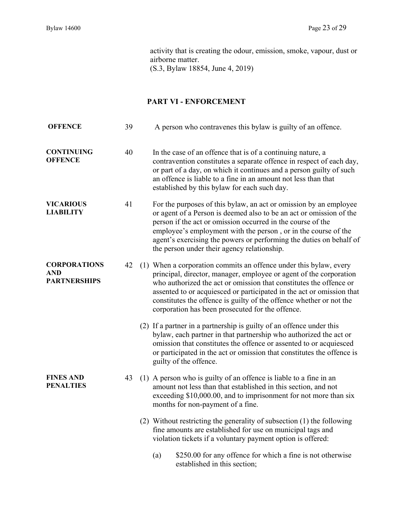activity that is creating the odour, emission, smoke, vapour, dust or airborne matter. (S.3, Bylaw 18854, June 4, 2019)

## **PART VI - ENFORCEMENT**

| <b>OFFENCE</b>                                           | 39 | A person who contravenes this bylaw is guilty of an offence.                                                                                                                                                                                                                                                                                                                                                      |
|----------------------------------------------------------|----|-------------------------------------------------------------------------------------------------------------------------------------------------------------------------------------------------------------------------------------------------------------------------------------------------------------------------------------------------------------------------------------------------------------------|
| <b>CONTINUING</b><br><b>OFFENCE</b>                      | 40 | In the case of an offence that is of a continuing nature, a<br>contravention constitutes a separate offence in respect of each day,<br>or part of a day, on which it continues and a person guilty of such<br>an offence is liable to a fine in an amount not less than that<br>established by this bylaw for each such day.                                                                                      |
| <b>VICARIOUS</b><br><b>LIABILITY</b>                     | 41 | For the purposes of this bylaw, an act or omission by an employee<br>or agent of a Person is deemed also to be an act or omission of the<br>person if the act or omission occurred in the course of the<br>employee's employment with the person, or in the course of the<br>agent's exercising the powers or performing the duties on behalf of<br>the person under their agency relationship.                   |
| <b>CORPORATIONS</b><br><b>AND</b><br><b>PARTNERSHIPS</b> | 42 | (1) When a corporation commits an offence under this bylaw, every<br>principal, director, manager, employee or agent of the corporation<br>who authorized the act or omission that constitutes the offence or<br>assented to or acquiesced or participated in the act or omission that<br>constitutes the offence is guilty of the offence whether or not the<br>corporation has been prosecuted for the offence. |
|                                                          |    | (2) If a partner in a partnership is guilty of an offence under this<br>bylaw, each partner in that partnership who authorized the act or<br>omission that constitutes the offence or assented to or acquiesced<br>or participated in the act or omission that constitutes the offence is<br>guilty of the offence.                                                                                               |
| <b>FINES AND</b><br><b>PENALTIES</b>                     | 43 | (1) A person who is guilty of an offence is liable to a fine in an<br>amount not less than that established in this section, and not<br>exceeding \$10,000.00, and to imprisonment for not more than six<br>months for non-payment of a fine.                                                                                                                                                                     |
|                                                          |    | (2) Without restricting the generality of subsection (1) the following<br>fine amounts are established for use on municipal tags and<br>violation tickets if a voluntary payment option is offered:                                                                                                                                                                                                               |
|                                                          |    | \$250.00 for any offence for which a fine is not otherwise<br>(a)<br>established in this section;                                                                                                                                                                                                                                                                                                                 |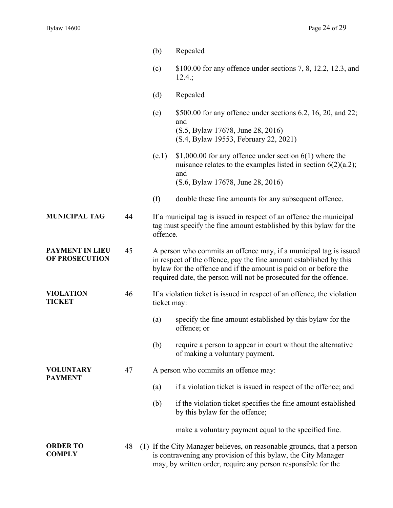|                                          |    | (b)                                                                                                                                                                                                                                                                              | Repealed                                                                                                                                                                                                 |  |
|------------------------------------------|----|----------------------------------------------------------------------------------------------------------------------------------------------------------------------------------------------------------------------------------------------------------------------------------|----------------------------------------------------------------------------------------------------------------------------------------------------------------------------------------------------------|--|
|                                          |    | (c)                                                                                                                                                                                                                                                                              | \$100.00 for any offence under sections $7, 8, 12.2, 12.3,$ and<br>12.4:                                                                                                                                 |  |
|                                          |    | (d)                                                                                                                                                                                                                                                                              | Repealed                                                                                                                                                                                                 |  |
|                                          |    | (e)                                                                                                                                                                                                                                                                              | \$500.00 for any offence under sections 6.2, 16, 20, and 22;<br>and<br>(S.5, Bylaw 17678, June 28, 2016)<br>(S.4, Bylaw 19553, February 22, 2021)                                                        |  |
|                                          |    | (e.1)                                                                                                                                                                                                                                                                            | \$1,000.00 for any offence under section $6(1)$ where the<br>nuisance relates to the examples listed in section $6(2)(a.2)$ ;<br>and<br>(S.6, Bylaw 17678, June 28, 2016)                                |  |
|                                          |    | (f)                                                                                                                                                                                                                                                                              | double these fine amounts for any subsequent offence.                                                                                                                                                    |  |
| <b>MUNICIPAL TAG</b>                     | 44 | offence.                                                                                                                                                                                                                                                                         | If a municipal tag is issued in respect of an offence the municipal<br>tag must specify the fine amount established by this bylaw for the                                                                |  |
| <b>PAYMENT IN LIEU</b><br>OF PROSECUTION | 45 | A person who commits an offence may, if a municipal tag is issued<br>in respect of the offence, pay the fine amount established by this<br>bylaw for the offence and if the amount is paid on or before the<br>required date, the person will not be prosecuted for the offence. |                                                                                                                                                                                                          |  |
| <b>VIOLATION</b><br><b>TICKET</b>        | 46 | ticket may:                                                                                                                                                                                                                                                                      | If a violation ticket is issued in respect of an offence, the violation                                                                                                                                  |  |
|                                          |    | (a)                                                                                                                                                                                                                                                                              | specify the fine amount established by this bylaw for the<br>offence; or                                                                                                                                 |  |
|                                          |    | (b)                                                                                                                                                                                                                                                                              | require a person to appear in court without the alternative<br>of making a voluntary payment.                                                                                                            |  |
| <b>VOLUNTARY</b><br><b>PAYMENT</b>       | 47 |                                                                                                                                                                                                                                                                                  | A person who commits an offence may:                                                                                                                                                                     |  |
|                                          |    | (a)                                                                                                                                                                                                                                                                              | if a violation ticket is issued in respect of the offence; and                                                                                                                                           |  |
|                                          |    | (b)                                                                                                                                                                                                                                                                              | if the violation ticket specifies the fine amount established<br>by this bylaw for the offence;                                                                                                          |  |
|                                          |    |                                                                                                                                                                                                                                                                                  | make a voluntary payment equal to the specified fine.                                                                                                                                                    |  |
| <b>ORDER TO</b><br><b>COMPLY</b>         | 48 |                                                                                                                                                                                                                                                                                  | (1) If the City Manager believes, on reasonable grounds, that a person<br>is contravening any provision of this bylaw, the City Manager<br>may, by written order, require any person responsible for the |  |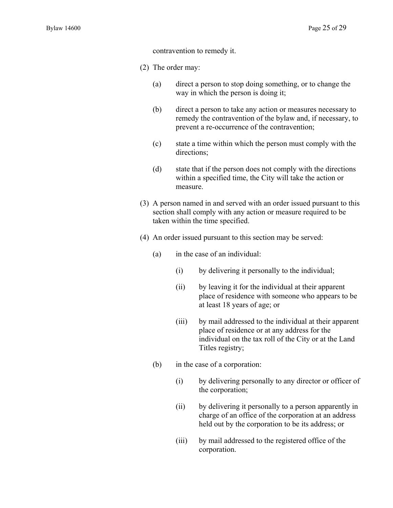contravention to remedy it.

(2) The order may:

- (a) direct a person to stop doing something, or to change the way in which the person is doing it;
- (b) direct a person to take any action or measures necessary to remedy the contravention of the bylaw and, if necessary, to prevent a re-occurrence of the contravention;
- (c) state a time within which the person must comply with the directions;
- (d) state that if the person does not comply with the directions within a specified time, the City will take the action or measure.
- (3) A person named in and served with an order issued pursuant to this section shall comply with any action or measure required to be taken within the time specified.
- (4) An order issued pursuant to this section may be served:
	- (a) in the case of an individual:
		- (i) by delivering it personally to the individual;
		- (ii) by leaving it for the individual at their apparent place of residence with someone who appears to be at least 18 years of age; or
		- (iii) by mail addressed to the individual at their apparent place of residence or at any address for the individual on the tax roll of the City or at the Land Titles registry;
	- (b) in the case of a corporation:
		- (i) by delivering personally to any director or officer of the corporation;
		- (ii) by delivering it personally to a person apparently in charge of an office of the corporation at an address held out by the corporation to be its address; or
		- (iii) by mail addressed to the registered office of the corporation.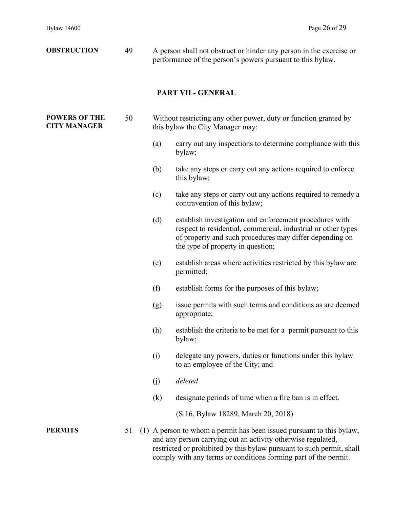| <b>OBSTRUCTION</b>                          | 49 |     | A person shall not obstruct or hinder any person in the exercise or<br>performance of the person's powers pursuant to this bylaw.                                                                                                                                                 |  |  |  |
|---------------------------------------------|----|-----|-----------------------------------------------------------------------------------------------------------------------------------------------------------------------------------------------------------------------------------------------------------------------------------|--|--|--|
|                                             |    |     | PART VII - GENERAL                                                                                                                                                                                                                                                                |  |  |  |
| <b>POWERS OF THE</b><br><b>CITY MANAGER</b> | 50 |     | Without restricting any other power, duty or function granted by<br>this bylaw the City Manager may:                                                                                                                                                                              |  |  |  |
|                                             |    | (a) | carry out any inspections to determine compliance with this<br>bylaw;                                                                                                                                                                                                             |  |  |  |
|                                             |    | (b) | take any steps or carry out any actions required to enforce<br>this bylaw;                                                                                                                                                                                                        |  |  |  |
|                                             |    | (c) | take any steps or carry out any actions required to remedy a<br>contravention of this bylaw;                                                                                                                                                                                      |  |  |  |
|                                             |    | (d) | establish investigation and enforcement procedures with<br>respect to residential, commercial, industrial or other types<br>of property and such procedures may differ depending on<br>the type of property in question;                                                          |  |  |  |
|                                             |    | (e) | establish areas where activities restricted by this bylaw are<br>permitted;                                                                                                                                                                                                       |  |  |  |
|                                             |    | (f) | establish forms for the purposes of this bylaw;                                                                                                                                                                                                                                   |  |  |  |
|                                             |    | (g) | issue permits with such terms and conditions as are deemed<br>appropriate;                                                                                                                                                                                                        |  |  |  |
|                                             |    | (h) | establish the criteria to be met for a permit pursuant to this<br>bylaw;                                                                                                                                                                                                          |  |  |  |
|                                             |    | (i) | delegate any powers, duties or functions under this bylaw<br>to an employee of the City; and                                                                                                                                                                                      |  |  |  |
|                                             |    | (j) | deleted                                                                                                                                                                                                                                                                           |  |  |  |
|                                             |    | (k) | designate periods of time when a fire ban is in effect.                                                                                                                                                                                                                           |  |  |  |
|                                             |    |     | (S.16, Bylaw 18289, March 20, 2018)                                                                                                                                                                                                                                               |  |  |  |
| <b>PERMITS</b>                              | 51 |     | (1) A person to whom a permit has been issued pursuant to this bylaw,<br>and any person carrying out an activity otherwise regulated,<br>restricted or prohibited by this bylaw pursuant to such permit, shall<br>comply with any terms or conditions forming part of the permit. |  |  |  |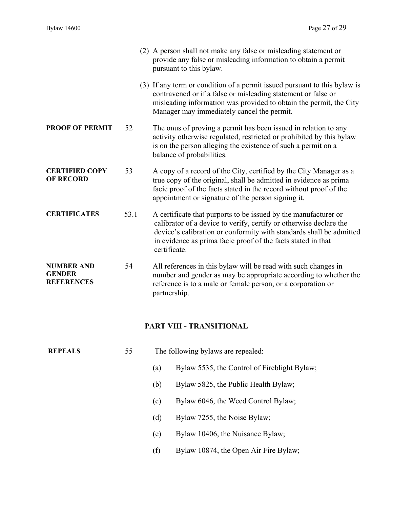|                                                         |      | (2) A person shall not make any false or misleading statement or<br>provide any false or misleading information to obtain a permit<br>pursuant to this bylaw.                                                                                                                                |
|---------------------------------------------------------|------|----------------------------------------------------------------------------------------------------------------------------------------------------------------------------------------------------------------------------------------------------------------------------------------------|
|                                                         |      | (3) If any term or condition of a permit issued pursuant to this bylaw is<br>contravened or if a false or misleading statement or false or<br>misleading information was provided to obtain the permit, the City<br>Manager may immediately cancel the permit.                               |
| <b>PROOF OF PERMIT</b>                                  | 52   | The onus of proving a permit has been issued in relation to any<br>activity otherwise regulated, restricted or prohibited by this bylaw<br>is on the person alleging the existence of such a permit on a<br>balance of probabilities.                                                        |
| <b>CERTIFIED COPY</b><br><b>OF RECORD</b>               | 53   | A copy of a record of the City, certified by the City Manager as a<br>true copy of the original, shall be admitted in evidence as prima<br>facie proof of the facts stated in the record without proof of the<br>appointment or signature of the person signing it.                          |
| <b>CERTIFICATES</b>                                     | 53.1 | A certificate that purports to be issued by the manufacturer or<br>calibrator of a device to verify, certify or otherwise declare the<br>device's calibration or conformity with standards shall be admitted<br>in evidence as prima facie proof of the facts stated in that<br>certificate. |
| <b>NUMBER AND</b><br><b>GENDER</b><br><b>REFERENCES</b> | 54   | All references in this bylaw will be read with such changes in<br>number and gender as may be appropriate according to whether the<br>reference is to a male or female person, or a corporation or<br>partnership.                                                                           |

# **PART VIII - TRANSITIONAL**

| <b>REPEALS</b> | 55 | The following bylaws are repealed: |                                              |  |
|----------------|----|------------------------------------|----------------------------------------------|--|
|                |    | (a)                                | Bylaw 5535, the Control of Fireblight Bylaw; |  |
|                |    | (b)                                | Bylaw 5825, the Public Health Bylaw;         |  |
|                |    | (c)                                | Bylaw 6046, the Weed Control Bylaw;          |  |
|                |    | (d)                                | Bylaw 7255, the Noise Bylaw;                 |  |
|                |    | (e)                                | Bylaw 10406, the Nuisance Bylaw;             |  |
|                |    | (f)                                | Bylaw 10874, the Open Air Fire Bylaw;        |  |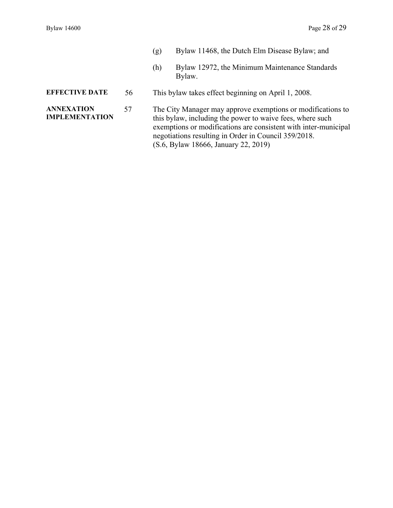- (g) Bylaw 11468, the Dutch Elm Disease Bylaw; and
- (h) Bylaw 12972, the Minimum Maintenance Standards Bylaw.

# **EFFECTIVE DATE** 56 This bylaw takes effect beginning on April 1, 2008.

**ANNEXATION IMPLEMENTATION**  57 The City Manager may approve exemptions or modifications to this bylaw, including the power to waive fees, where such exemptions or modifications are consistent with inter-municipal negotiations resulting in Order in Council 359/2018. (S.6, Bylaw 18666, January 22, 2019)